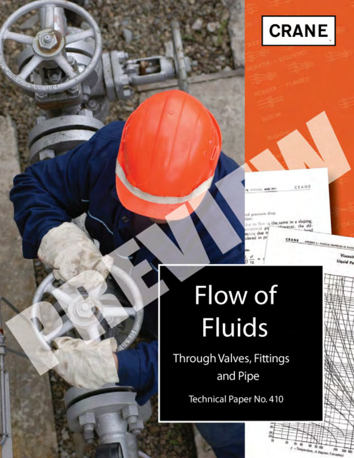

CRANE 11. AND PIP

d pressure drop in flow is the same in a sloping.<br>social pip interacyon, the difrizontial pit **Acura** due of dered in pr CRANE APPENDIX 4 - PRODUCTS PA

30 40

r - Tenperature, or Degrees 取消

Viscosit **Uquid Pe** 

# Flow of **Fluids**

Through Valves, Fittings and Pipe

Technical Paper No. 410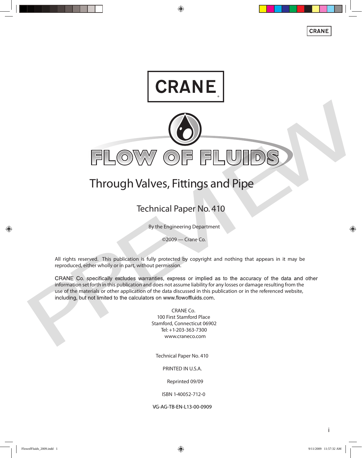

## **Through Valves, Fittings and Pipe**

### Technical Paper No. 410

By the Engineering Department

©2009 — Crane Co.

All rights reserved. This publication is fully protected by copyright and nothing that appears in it may be reproduced, either wholly or in part, without permission.

information set forth in this publication and does not assume liability for any losses or damage resulting from the use of the materials or other application of the data discussed in this publication or in the referenced website,

> **CRANE Co.** 100 First Stamford Place Stamford, Connecticut 06902 Tel: +1-203-363-7300 www.craneco.com

**Technical Paper No. 410**

PRINTED IN U.S.A.

Reprinted 09/09

ISBN 1-40052-712-0

VG-AG-TB-EN-L13-00-0909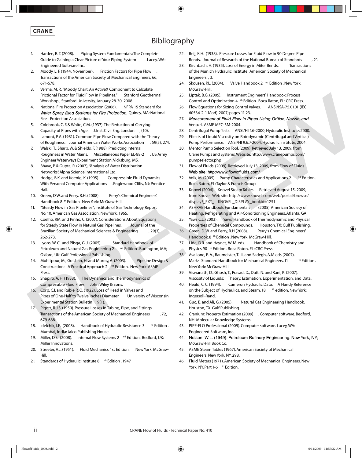#### **CRANE** ®

#### **Bibliography**

- 1. Hardee, R.T. (2008). Piping System Fundamentals: The Complete Guide to Gaining a Clear Picture of Your Piping System . Lacey, WA: Engineered Software Inc.
- 2. Moody, L. F. (1944, November). Friction Factors for Pipe Flow. Transactions of the American Society of Mechanical Engineers, 66, 671-678.
- 3. Verma, M. P., "Moody Chart: An ActiveX Component to Calculate Frictional Factor for Fluid Flow in Pipelines." Stanford Geothermal Workshop , Stanford University, January 28-30, 2008.
- 4. National Fire Protection Association (2006). NFPA 15 Standard for Water Spray fixed Systems for Fire Protection. Quincy, MA: National Fire Protection Association.
- 5. Colebrook, C. F. & White, C.M. (1937). The Reduction of Carrying Capacity of Pipes with Age. J. Inst. Civil Eng. London , (10).
- 6. Lamont, P.A. (1981). Common Pipe Flow Compared with the Theory of Roughness. Journal American Water Works Association . 59(5), 274.
- 7. Walski, T., Sharp, W. & Shields, F. (1988), Predicting Internal Roughness in Water Mains. Miscellaneous Paper EL-88-2 , US Army Engineer Waterways Experiment Station: Vicksburg, MS.
- 8. Bhave, P. & Gupta, R. (2007), "Analysis of Water Distribution Networks", Alpha Science International Ltd.
- 9. Hodge, B.K. and Koenig, K. (1995). Compressible Fluid Dynamics With Personal Computer Applications . Englewood Cliffs, NJ: Prentice Hall.
- 10. Green, D.W. and Perry, R.H. (2008). Perry's Chemical Engineers' Handbook 8<sup>th</sup> Edition . New York: McGraw-Hill.
- 11. "Steady Flow in Gas Pipelines"; Institute of Gas Technology Report No. 10, American Gas Association, New York, 1965.
- 12. Coelho, P.M. and Pinho, C. (2007). Considerations About Equations for Steady State Flow in Natural Gas Pipelines. Journal of the Brazilian Society of Mechanical Sciences & Engineering (29(3), 262-273. iretical isotophis in delation operator the solution of the solution of the solution of the solution of the solution of the solution of the solution of the solution of the solution of the solution of the solution of the s
- 13. Lyons, W. C. and Plisga, G. J. (2005). Standard Handbook of Petroleum and Natural Gas Engineering 2 nd Edition . Burlington, MA; Oxford, UK: Gulf Professional Publishing.
- 14. Mohitpour, M., Golshan, H. and Murray, A. (2003). Pipeline Design & Construction: A Practical Approach 2 nd Edition. New York: ASME Press.
- 15. Shapiro, A. H. (1953). The Dynamics and Thermodynamics of Compressible Fluid Flow. John Wiley & Sons.
- 16. Corp, C.I. and Ruble R. O. (1922). Loss of Head in Valves and Pipes of One-Half to Twelve Inches Diameter. University of Wisconsin Experimental Station Bulletin , 9(1).
- 17. Pigott, R.J.S. (1950). Pressure Losses in Tubing, Pipe, and Fittings. Transactions of the American Society of Mechanical Engineers . 72, 679-688.
- 18. Idelchik, I.E. (2008). Handbook of Hydraulic Resistance 3 <sup>rd</sup> Edition. Mumbai, India: Jaico Publishing House.
- 19. Miller, D.S. (2008). Internal Flow Systems 2<sup>nd</sup> Edition . Bedford, UK: Miller Innovations.
- 20. Streeter, V.L. (1951). Fluid Mechanics 1st Edition. New York: McGraw- Hill.
- 21. Standards of Hydraulic Institute 8  $t$ <sup>th</sup> Edition . 1947
- 22. Beij, K.H. (1938). Pressure Losses for Fluid Flow in 90 Degree Pipe Bends. Journal of Research of the National Bureau of Standards , 21.
- 23. Kirchbach, H. (1935). Loss of Energy in Miter Bends. Transactions of the Munich Hydraulic Institute, American Society of Mechanical Engineers , 3.
- 24. Skousen, P.L. (2004). Valve Handbook 2 nd Edition . New York: McGraw-Hill.
- 25. Liptak, B.G. (2005). Instrument Engineers' Handbook: Process Control and Optimization 4 <sup>th</sup> Edition . Boca Raton, FL: CRC Press.
- 26. Flow Equations for Sizing Control Valves. ANSI/ISA-75.01.01 (IEC 60534-2-1 Mod)-2007; pages 11-23.
- 27. Venturi. ASME MFC-3M-2004.
- 28. Centrifugal Pump Tests. ANSI/HI 1.6-2000; Hydraulic Institute; 2000.
- Effects of Liquid Viscosity on Rotodynamic (Centrifugal and Vertical) Pump Performance. ANSI/HI 9.6.7-2004; Hydraulic Institute; 2004.
- 30. Mentor Pump Selection Tool. (2009). Retrieved July 13, 2009, from Crane Pumps and Systems. Website: http://www.cranepumps.com/ pumpselector.php
- 31. Flow of Fluids. (2009). Retrieved July 13, 2009, from Flow of Fluids
- 32. Volk, M. (2005). Pump Characteristics and Applications 2 nd Edition. Boca Raton, FL: Taylor & Francis Group.
- 33. Knovel (2006). Knovel Steam Tables. Retrieved August 15, 2009, from Knovel Web site: http://www.knovel.com/web/portal/browse/ display? EXT KNOVEL DISPLAY\_bookid=1251
- 34. ASHRAE Handbook: Fundamentals (2005). American Society of Heating, Refrigerating and Air-Conditioning Engineers. Atlanta, GA.
- 35. Yaws C.L. (2003). Yaws' Handbook of Thermodynamic and Physical Properties of Chemical Compounds. Houston, TX: Gulf Publishing.
- 36. Green, D. W. and Perry, R.H (2008). Perry's Chemical Engineers' Handbook.8 <sup>th</sup> Edition . New York: McGraw-Hill.
- 37. Lide, D.R. and Haynes, W. M. eds. Handbook of Chemistry and Physics 90 th Edition . Boca Raton, FL: CRC Press.
- 38. Avallone, E. A., Baumeister, T. III, and Sadegh, A.M eds (2007). Marks' Standard Handbook for Mechanical Engineers. 11 the Edition. New York: McGraw-Hill.
- 39. Viswanath, D., Ghosh, T., Prasad, D., Dutt, N. and Rani, K. (2007). Viscosity of Liquids: Theory, Estimation, Experimentation, and Data.
- 40. Heald, C. C. (1994). Cameron Hydraulic Data: A Handy Reference on the Subject of Hydraulics, and Steam. 18 the edition. New York: Ingersoll-Rand.
- 41. Guo, B. and Ali, G. (2005). Natural Gas Engineering Handbook. Houston, TX: Gulf Publishing.
- 42. Cranium: Property Estimation (2009) . Computer software. Bedford, NH: Molecular Knowledge Systems.
- 43. PIPE-FLO Professional (2009). Computer software. Lacey, WA: Engineered Software, Inc.
- 44. Nelson, W.L. (1949). Petroleum Refinery Engineering. New York, NY; McGraw-Hill Book Co.
- 45. ASME Steam Tables (1967). American Society of Mechanical Engineers. New York, NY. 298.
- 46. Fluid Meters (1971). American Society of Mechanical Engineers. New York, NY. Part 1-6 th Edition.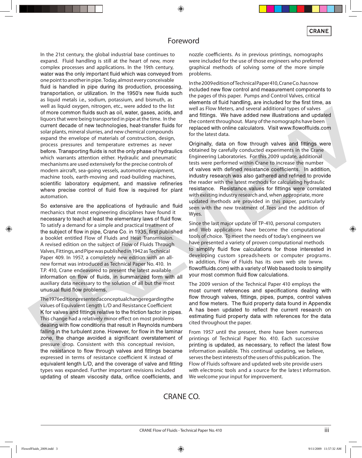#### **Foreword**

In the 21st century, the global industrial base continues to expand. Fluid handling is still at the heart of new, more complex processes and applications. In the 19th century, water was the only important fluid which was conveyed from one point to another in pipe. Today, almost every conceivable fluid is handled in pipe during its production, processing, transportation, or utilization. In the 1950's new fluids such as liquid metals i.e., sodium, potassium, and bismuth, as well as liquid oxygen, nitrogen, etc., were added to the list We as equal excepts in the case of the same state in well as Related System and System and through the same in the same in the same state in the same in the same in the same in the same in the same in the same in the same liquors that were being transported in pipe at the time. In the solar plants, mineral slurries, and new chemical compounds expand the envelope of materials of construction, design, process pressures and temperature extremes as never which warrants attention either. Hydraulic and pneumatic mechanisms are used extensively for the precise controls of modern aircraft, sea-going vessels, automotive equipment, machine tools, earth-moving and road-building machines, automation.

mechanics that most engineering disciplines have found it To satisfy a demand for a simple and practical treatment of a booklet entitled Flow of Fluids and Heat Transmission. A revised edition on the subject of Flow of Fluids Through Valves, Fittings, and Pipe was published in 1942 as Technical Paper 409. In 1957, a completely new edition with an allnew format was introduced as Technical Paper No. 410. In T.P. 410, Crane endeavored to present the latest available auxiliary data necessary to the solution of all but the most

The 1976 edition presented a conceptual change regarding the values of Equivalent Length L/D and Resistance Coefficient This change had a relatively minor effect on most problems pressure drop. Consistent with this conceptual revision, expressed in terms of resistance coefficient K instead of equivalent length L/D, and the coverage of valve and fitting types was expanded. Further important revisions included updating of steam viscosity data, orifice coefficients, and nozzle coefficients. As in previous printings, nomographs were included for the use of those engineers who preferred graphical methods of solving some of the more simple problems.

In the 2009 edition of Technical Paper 410, Crane Co. has now included new flow control and measurement components to the pages of this paper. Pumps and Control Valves, critical elements of fluid handling, are included for the first time, as well as Flow Meters, and several additional types of valves the content throughout. Many of the nomographs have been for the latest data.

obtained by carefully conducted experiments in the Crane Engineering Laboratories. For this 2009 update, additional tests were performed within Crane to increase the number the reader with the latest methods for calculating hydraulic with existing industry research and, when appropriate, more updated methods are provided in this paper, particularly seen with the new treatment of Tees and the addition of Wyes.

Since the last major update of TP-410, personal computers and Web applications have become the computational tools of choice. To meet the needs of today's engineers we have presented a variety of proven computational methods developing custom spreadsheets or computer programs. In addition, Flow of Fluids has its own web site (www.

The 2009 version of the Technical Paper 410 employs the cited throughout the paper.

From 1957 until the present, there have been numerous printings of Technical Paper No. 410. Each successive information available. This continual updating, we believe, serves the best interests of the users of this publication. The Flow of Fluids software and updated web site provide users with electronic tools and a source for the latest information. We welcome your input for improvement.

#### **CRANE CO.**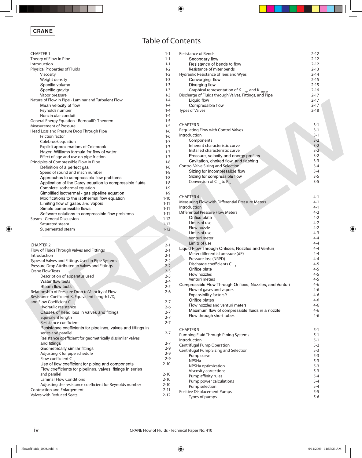| <b>Table of Contents</b> |  |  |
|--------------------------|--|--|
|--------------------------|--|--|

| <b>CHAPTER 1</b>                                                                                      | $1 - 1$              |
|-------------------------------------------------------------------------------------------------------|----------------------|
| Theory of Flow in Pipe                                                                                | $1 - 1$              |
| Introduction                                                                                          | $1 - 1$              |
| Physical Properties of Fluids                                                                         | $1 - 2$              |
| Viscosity                                                                                             | $1 - 2$              |
| Weight density                                                                                        | $1 - 3$              |
| Specific volume                                                                                       | $1 - 3$              |
| Specific gravity                                                                                      | $1 - 3$              |
| Vapor pressure                                                                                        | $1 - 3$              |
| Nature of Flow in Pipe - Laminar and Turbulent Flow                                                   | $1 - 4$              |
| Mean velocity of flow<br>Reynolds number                                                              | $1 - 4$              |
| Noncircular conduit                                                                                   | $1 - 4$<br>$1 - 4$   |
| General Energy Equation - Bernoulli's Theorem                                                         | $1 - 5$              |
| <b>Measurement of Pressure</b>                                                                        | $1 - 5$              |
| Head Loss and Pressure Drop Through Pipe                                                              | $1-6$                |
| <b>Friction factor</b>                                                                                | $1-6$                |
| Colebrook equation                                                                                    | $1 - 7$              |
| <b>Explicit approximations of Colebrook</b>                                                           | $1 - 7$              |
| Hazen-Williams formula for flow of water                                                              | $1 - 7$              |
| Effect of age and use on pipe friction                                                                | $1 - 7$              |
| Principles of Compressible Flow in Pipe                                                               | $1 - 8$              |
| Definition of a perfect gas                                                                           | $1 - 8$              |
| Speed of sound and mach number                                                                        | $1 - 8$              |
| Approaches to compressible flow problems                                                              | $1 - 8$              |
| Application of the Darcy equation to compressible fluids                                              | $1 - 8$              |
| Complete isothermal equation                                                                          | $1 - 9$              |
| Simplified isothermal - gas pipeline equation                                                         | $1-9$                |
| Modifications to the isothermal flow equation                                                         | $1 - 10$             |
| Limiting flow of gases and vapors                                                                     | $1 - 11$             |
| Simple compressible flows                                                                             | $1 - 11$             |
| Software solutions to compressible flow problems                                                      | $1 - 11$             |
| <b>Steam - General Discussion</b><br>Saturated steam                                                  | $1 - 12$<br>$1 - 12$ |
|                                                                                                       |                      |
|                                                                                                       |                      |
| Superheated steam                                                                                     | $1 - 12$             |
|                                                                                                       |                      |
| <b>CHAPTER 2</b>                                                                                      | $2 - 1$              |
| Flow of Fluids Through Valves and Fittings                                                            | $2 - 1$              |
| Introduction                                                                                          | $2 - 1$              |
| Types of Valves and Fittings Used in Pipe Systems                                                     | $2 - 2$              |
| Pressure Drop Attributed to Valves and Fittings                                                       | $2 - 2$              |
| <b>Crane Flow Tests</b>                                                                               | $2 - 3$              |
| Description of apparatus used                                                                         | $2 - 3$              |
| Water flow tests                                                                                      | $2 - 4$              |
| Steam flow tests                                                                                      | $2 - 5$              |
| Relationship of Pressure Drop to Velocity of Flow<br>Resistance Coefficient K, Equivalent Length L/D, | $2 - 6$              |
|                                                                                                       | $2 - 7$              |
| and Flow Coefficient C<br>Hydraulic resistance                                                        | 2-6                  |
| Causes of head loss in valves and fittings                                                            | 2-7                  |
| Equivalent length                                                                                     | 2-7                  |
| Resistance coefficient                                                                                | 2-7                  |
| Resistance coefficients for pipelines, valves and fittings in                                         |                      |
| series and parallel                                                                                   | 2-7                  |
| Resistance coefficient for geometrically dissimilar valves                                            |                      |
| and fittings                                                                                          | 2-7                  |
| Geometrically similar fittings                                                                        | $2-9$                |
| Adjusting K for pipe schedule                                                                         | 2-9                  |
| Flow coefficient C                                                                                    | 2-9                  |
| Use of flow coefficient for piping and components                                                     | $2 - 10$             |
| Flow coefficients for pipelines, valves, fittings in series                                           |                      |
| and parallel                                                                                          | $2 - 10$             |
| <b>Laminar Flow Conditions</b>                                                                        | $2 - 10$             |
| Adjusting the resistance coefficient for Reynolds number<br>Contraction and Enlargement               | $2 - 10$<br>$2 - 11$ |

| <b>CHAPTER 1</b>                                              | $1 - 1$  | <b>Resistance of Bends</b>                               | $2 - 12$ |
|---------------------------------------------------------------|----------|----------------------------------------------------------|----------|
| Theory of Flow in Pipe                                        | $1 - 1$  | Secondary flow                                           | $2 - 12$ |
| Introduction                                                  | $1 - 1$  | Resistance of bends to flow                              | $2 - 12$ |
| Physical Properties of Fluids                                 | $1 - 2$  | Resistance of miter bends                                | $2 - 13$ |
| Viscosity                                                     | $1 - 2$  | Hydraulic Resistance of Tees and Wyes                    | $2 - 14$ |
| Weight density                                                | $1 - 3$  | Converging flow                                          | $2 - 15$ |
|                                                               |          |                                                          |          |
| Specific volume                                               | $1 - 3$  | Diverging flow                                           | $2 - 15$ |
| Specific gravity                                              | $1 - 3$  | Graphical representation of $K_{run}$ and $K_{branch}$   | $2 - 16$ |
| Vapor pressure                                                | $1 - 3$  | Discharge of Fluids through Valves, Fittings, and Pipe   | $2 - 17$ |
| Nature of Flow in Pipe - Laminar and Turbulent Flow           | $1 - 4$  | Liquid flow                                              | $2 - 17$ |
| Mean velocity of flow                                         | $1 - 4$  | Compressible flow                                        | $2 - 17$ |
| Reynolds number                                               | $1 - 4$  | Types of Valves                                          | $2 - 18$ |
| Noncircular conduit                                           | $1 - 4$  |                                                          |          |
|                                                               |          |                                                          |          |
| General Energy Equation - Bernoulli's Theorem                 | $1 - 5$  | <b>CHAPTER 3</b>                                         | $3 - 1$  |
| <b>Measurement of Pressure</b>                                | $1 - 5$  |                                                          |          |
| Head Loss and Pressure Drop Through Pipe                      | $1-6$    | Regulating Flow with Control Valves                      | $3 - 1$  |
| Friction factor                                               | $1-6$    | Introduction                                             | $3 - 1$  |
| Colebrook equation                                            | $1 - 7$  | Components                                               | $3 - 2$  |
|                                                               | $1 - 7$  | Inherent characteristic curve                            | $3 - 2$  |
| <b>Explicit approximations of Colebrook</b>                   |          | Installed characteristic curve                           | $3 - 2$  |
| Hazen-Williams formula for flow of water                      | $1 - 7$  |                                                          |          |
| Effect of age and use on pipe friction                        | $1 - 7$  | Pressure, velocity and energy profiles                   | $3 - 2$  |
| Principles of Compressible Flow in Pipe                       | $1 - 8$  | Cavitation, choked flow, and flashing                    | $3 - 3$  |
| Definition of a perfect gas                                   | $1 - 8$  | Control Valve Sizing and Selection                       | $3 - 4$  |
| Speed of sound and mach number                                | $1 - 8$  | Sizing for incompressible flow                           | $3 - 4$  |
|                                                               |          | Sizing for compressible flow                             | $3 - 5$  |
| Approaches to compressible flow problems                      | $1 - 8$  |                                                          |          |
| Application of the Darcy equation to compressible fluids      | $1 - 8$  | Conversion of $C_{v}$ to K <sub>v</sub>                  | $3 - 5$  |
| Complete isothermal equation                                  | $1 - 9$  |                                                          |          |
| Simplified isothermal - gas pipeline equation                 | $1 - 9$  |                                                          |          |
| Modifications to the isothermal flow equation                 | $1 - 10$ | <b>CHAPTER 4</b>                                         | $4-1$    |
|                                                               |          | Measuring Flow with Differential Pressure Meters         | $4 - 1$  |
| Limiting flow of gases and vapors                             | $1 - 11$ | Introduction                                             | $4 - 1$  |
| Simple compressible flows                                     | $1 - 11$ |                                                          |          |
| Software solutions to compressible flow problems              | $1 - 11$ | <b>Differential Pressure Flow Meters</b>                 | $4 - 2$  |
| Steam - General Discussion                                    | $1 - 12$ | Orifice plate                                            | $4 - 2$  |
| Saturated steam                                               | $1 - 12$ | Limits of use                                            | $4 - 2$  |
|                                                               | $1 - 12$ | Flow nozzle                                              | $4 - 2$  |
| Superheated steam                                             |          | Limits of use                                            | $4 - 3$  |
|                                                               |          |                                                          | $4 - 4$  |
|                                                               |          | Venturi meter                                            |          |
| <b>CHAPTER 2</b>                                              | $2 - 1$  | Limits of use                                            | $4 - 4$  |
| Flow of Fluids Through Valves and Fittings                    | $2 - 1$  | Liquid Flow Through Orifices, Nozzles and Venturi        | $4 - 4$  |
| Introduction                                                  | $2 - 1$  | Meter differential pressure (dP)                         | $4 - 4$  |
|                                                               |          | Pressure loss (NRPD)                                     | $4 - 4$  |
| Types of Valves and Fittings Used in Pipe Systems             | $2 - 2$  | Discharge coefficients C <sub>d</sub>                    | $4 - 5$  |
| Pressure Drop Attributed to Valves and Fittings               | $2 - 2$  |                                                          |          |
| <b>Crane Flow Tests</b>                                       | $2 - 3$  | Orifice plate                                            | $4 - 5$  |
| Description of apparatus used                                 | $2 - 3$  | Flow nozzles                                             | $4 - 5$  |
| Water flow tests                                              | $2 - 4$  | Venturi meters                                           | 4-5      |
|                                                               |          | Compressible Flow Through Orifices, Nozzles, and Venturi | $4 - 6$  |
| Steam flow tests                                              | $2 - 5$  | Flow of gases and vapors                                 | $4-6$    |
| Relationship of Pressure Drop to Velocity of Flow             | $2 - 6$  |                                                          |          |
| Resistance Coefficient K, Equivalent Length L/D,              |          | Expansibility factors Y                                  | $4-6$    |
| and Flow Coefficient C                                        | $2 - 7$  | Orifice plates                                           | $4-6$    |
| Hydraulic resistance                                          | $2 - 6$  | Flow nozzles and venturi meters                          | $4-6$    |
|                                                               | $2 - 7$  | Maximum flow of compressible fluids in a nozzle          | $4-6$    |
| Causes of head loss in valves and fittings                    |          | Flow through short tubes                                 | $4-6$    |
| Equivalent length                                             | $2 - 7$  |                                                          |          |
| Resistance coefficient                                        | $2 - 7$  |                                                          |          |
| Resistance coefficients for pipelines, valves and fittings in |          | <b>CHAPTER 5</b>                                         |          |
| series and parallel                                           | $2 - 7$  |                                                          | $5 - 1$  |
| Resistance coefficient for geometrically dissimilar valves    |          | Pumping Fluid Through Piping Systems                     | $5 - 1$  |
|                                                               |          | Introduction                                             | $5 - 1$  |
| and fittings                                                  | $2 - 7$  | Centrifugal Pump Operation                               | $5 - 2$  |
| Geometrically similar fittings                                | $2 - 9$  | Centrifugal Pump Sizing and Selection                    | $5 - 3$  |
| Adjusting K for pipe schedule                                 | $2 - 9$  | Pump curve                                               | $5 - 3$  |
| Flow coefficient C                                            | $2 - 9$  | <b>NPSHa</b>                                             | $5 - 3$  |
| Use of flow coefficient for piping and components             | $2 - 10$ |                                                          |          |
| Flow coefficients for pipelines, valves, fittings in series   |          | NPSHa optimization                                       | $5 - 3$  |
|                                                               |          | Viscosity corrections                                    | $5 - 3$  |
| and parallel                                                  | $2 - 10$ | Pump affinity rules                                      | $5 - 4$  |
| <b>Laminar Flow Conditions</b>                                | $2 - 10$ | Pump power calculations                                  | $5 - 4$  |
| Adjusting the resistance coefficient for Reynolds number      | $2 - 10$ | Pump selection                                           | $5 - 4$  |
| Contraction and Enlargement                                   | $2 - 11$ |                                                          |          |
|                                                               |          | Positive Displacement Pumps                              | $5 - 5$  |

Positive Displacement Pumps **Following Contract Contract Contract Contract Contract Contract Contract Contract Co** Types of pumps and the set of the set of the set of the set of the set of the set of the set of the set of the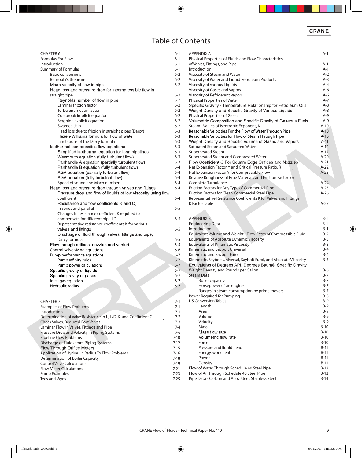#### **Table of Contents**

| CHAPTER 6                                                                      | $6 - 1$            |
|--------------------------------------------------------------------------------|--------------------|
| <b>Formulas For Flow</b>                                                       | $6-1$              |
| Introduction                                                                   | $6 - 1$            |
| Summary of Formulas                                                            | $6 - 1$            |
| <b>Basic conversions</b>                                                       | $6 - 2$            |
| Bernoulli's theorum                                                            | $6 - 2$            |
| Mean velocity of flow in pipe                                                  | $6 - 2$            |
| Head loss and pressure drop for incompressible flow in                         |                    |
| straight pipe                                                                  | $6 - 2$            |
| Reynolds number of flow in pipe                                                | $6 - 2$            |
| Laminar friction factor                                                        | $6 - 2$            |
| Turbulent friction factor                                                      | $6 - 2$            |
| Colebrook implicit equation                                                    | $6 - 2$            |
| Serghide explicit equation                                                     | $6 - 2$            |
| Swamee-Jain                                                                    | $6 - 2$            |
| Head loss due to friction in straight pipes (Darcy)                            | $6 - 3$            |
| Hazen-Williams formula for flow of water                                       | 6-3                |
| Limitations of the Darcy formula                                               | $6 - 3$            |
| Isothermal compressible flow equations                                         | $6 - 3$            |
| Simplified isothermal equation for long pipelines                              | $6 - 3$            |
| Weymouth equation (fully turbulent flow)                                       | $6 - 3$            |
| Panhandle A equation (partially turbulent flow)                                | $6 - 3$            |
| Panhandle B equation (fully turbulent flow)                                    | $6 - 4$<br>$6 - 4$ |
| AGA equation (partially turbulent flow)<br>AGA equation (fully turbulent flow) | $6 - 4$            |
| Speed of sound and Mach number                                                 | $6 - 4$            |
| Head loss and pressure drop through valves and fittings                        | $6 - 4$            |
| Pressure drop and flow of liquids of low viscosity using flow                  |                    |
| coefficient                                                                    | $6 - 4$            |
| Resistance and flow coefficients K and C <sub>v</sub>                          |                    |
| in series and parallel                                                         | $6 - 5$            |
| Changes in resistance coefficient K required to                                |                    |
| compensate for different pipe I.D.                                             | $6 - 5$            |
| Representative resistance coefficients K for various                           |                    |
| valves and fittings                                                            | $6 - 5$            |
| Discharge of fluid through valves, fittings and pipe;                          |                    |
| Darcy formula                                                                  | $6 - 5$            |
| Flow through orifices, nozzles and venturi                                     | $6 - 5$            |
| Control valve sizing equations                                                 | 6-6                |
| Pump performance equations                                                     | $6 - 7$            |
| Pump affinity rules                                                            | $6 - 7$            |
| Pump power calculations                                                        | $6 - 7$            |
| Specific gravity of liquids                                                    | $6 - 7$            |
| Specific gravity of gases                                                      | $6 - 7$            |
| Ideal gas equation                                                             | $6 - 7$            |
| Hydraulic radius                                                               | $6 - 7$            |
|                                                                                |                    |
| <b>CHAPTER 7</b>                                                               | 7-1                |
| <b>Examples of Flow Problems</b>                                               | 7-1                |
| Introduction                                                                   | $7 - 1$            |
| Determination of Valve Resistance in L, L/D, K, and Coefficient C              | 7-2                |
| <b>Check Valves, Reduced Port Valves</b>                                       | $7 - 3$            |
| Laminar Flow in Valves, Fittings and Pipe                                      | $7 - 4$            |
| Pressure Drop and Velocity in Piping Systems                                   | 7-6                |
| <b>Pipeline Flow Problems</b>                                                  | $7 - 10$           |
| Discharge of Fluids from Piping Systems                                        | $7 - 12$           |
| Flow Through Orifice Meters                                                    | $7 - 15$           |
| Application of Hydraulic Radius To Flow Problems                               | 7-16               |

Control Valve Calculations **7-19**<br>
Flow Meter Calculations **7-21** Flow Meter Calculations **7-21**<br>
Pump Examples 7-23 Pump Examples 7-23<br>Tees and Wyes 7-25

Tees and Wyes

| <b>Basic conversions</b>                                          | $6 - 2$  | Viscosity of Steam and Water                                        | $A-2$   |
|-------------------------------------------------------------------|----------|---------------------------------------------------------------------|---------|
| Bernoulli's theorum                                               | $6 - 2$  | Viscosity of Water and Liquid Petroleum Products                    | $A-3$   |
| Mean velocity of flow in pipe                                     | $6 - 2$  | Viscosity of Various Liquids                                        | $A - 4$ |
| Head loss and pressure drop for incompressible flow in            |          | Viscosity of Gases and Vapors                                       | $A-6$   |
| straight pipe                                                     | $6 - 2$  | Viscosity of Refrigerant Vapors                                     | $A-6$   |
| Reynolds number of flow in pipe                                   | $6 - 2$  | Physical Properties of Water                                        | $A-7$   |
| Laminar friction factor                                           | $6 - 2$  | Specific Gravity - Temperature Relationship for Petroleum Oils      | $A-8$   |
| Turbulent friction factor                                         | $6 - 2$  | Weight Density and Specific Gravity of Various Liquids              | $A-8$   |
| Colebrook implicit equation                                       | $6 - 2$  | Physical Properties of Gases                                        | $A-9$   |
| Serghide explicit equation                                        | $6 - 2$  | Volumetric Composition and Specific Gravity of Gaseous Fuels        | $A-9$   |
| Swamee-Jain                                                       | $6 - 2$  | Steam - Values of Isentropic Exponent, K                            | $A-10$  |
| Head loss due to friction in straight pipes (Darcy)               | $6 - 3$  | Reasonable Velocities For the Flow of Water Through Pipe            | $A-10$  |
| Hazen-Williams formula for flow of water                          | $6 - 3$  | Reasonable Velocities for Flow of Steam Through Pipe                | $A-10$  |
| Limitations of the Darcy formula                                  | $6 - 3$  | Weight Density and Specific Volume of Gases and Vapors              | $A-11$  |
| Isothermal compressible flow equations                            | $6 - 3$  | Saturated Steam and Saturated Water                                 | $A-12$  |
| Simplified isothermal equation for long pipelines                 | $6 - 3$  | <b>Superheated Steam</b>                                            | $A-17$  |
|                                                                   |          |                                                                     |         |
| Weymouth equation (fully turbulent flow)                          | $6 - 3$  | Superheated Steam and Compressed Water                              | $A-20$  |
| Panhandle A equation (partially turbulent flow)                   | $6 - 3$  | Flow Coefficient C For Square Edge Orifices and Nozzles             | $A-21$  |
| Panhandle B equation (fully turbulent flow)                       | $6 - 4$  | Net Expansion Factor, Y and Critical Pressure Ratio, R              | $A-22$  |
| AGA equation (partially turbulent flow)                           | $6 - 4$  | Net Expansion Factor Y for Compressible Flow                        | $A-23$  |
| AGA equation (fully turbulent flow)                               | $6 - 4$  | Relative Roughness of Pipe Materials and Friction Factor for        |         |
| Speed of sound and Mach number                                    | $6 - 4$  | Complete Turbulence                                                 | $A-24$  |
| Head loss and pressure drop through valves and fittings           | $6 - 4$  | Friction Factors for Any Type of Commercial Pipe                    | $A-25$  |
| Pressure drop and flow of liquids of low viscosity using flow     |          | Friction Factors for Clean Commercial Steel Pipe                    | $A-26$  |
| coefficient                                                       | $6 - 4$  | Representative Resistance Coefficients K for Valves and Fittings    |         |
| Resistance and flow coefficients K and C <sub>v</sub>             |          | K Factor Table                                                      | $A-27$  |
| in series and parallel                                            | $6 - 5$  |                                                                     |         |
| Changes in resistance coefficient K required to                   |          |                                                                     |         |
| compensate for different pipe I.D.                                | $6 - 5$  | <b>APPENDIX B</b>                                                   | $B-1$   |
| Representative resistance coefficients K for various              |          | <b>Engineering Data</b>                                             | $B-1$   |
| valves and fittings                                               | $6 - 5$  | Introduction                                                        | $B-1$   |
| Discharge of fluid through valves, fittings and pipe;             |          | Equivalent Volume and Weight - Flow Rates of Compressible Fluid     | $B-2$   |
| Darcy formula                                                     | $6 - 5$  | Equivalents of Absolute Dynamic Viscosity                           | $B-3$   |
| Flow through orifices, nozzles and venturi                        | $6 - 5$  | Equivalents of Kinematic Viscosity                                  | $B-3$   |
| Control valve sizing equations                                    | 6-6      | Kinematic and Saybolt Universal                                     | $B-4$   |
| Pump performance equations                                        | $6 - 7$  | Kinematic and Saybolt Furol                                         | $B-4$   |
| Pump affinity rules                                               | $6 - 7$  | Kinematic, Saybolt Universal, Saybolt Furol, and Absolute Viscosity | $B-5$   |
| Pump power calculations                                           | $6 - 7$  | Equivalents of Degrees API, Degrees Baumé, Specific Gravity,        |         |
| Specific gravity of liquids                                       | $6 - 7$  | Weight Density, and Pounds per Gallon                               | $B-6$   |
| Specific gravity of gases                                         | $6 - 7$  | Steam Data                                                          | $B-7$   |
| Ideal gas equation                                                | $6 - 7$  | <b>Boiler capacity</b>                                              | $B-7$   |
| Hydraulic radius                                                  | $6 - 7$  | Horsepower of an engine                                             | $B-7$   |
|                                                                   |          | Ranges in steam consumption by prime movers                         | $B-7$   |
|                                                                   |          | Power Required for Pumping                                          | $B-8$   |
| <b>CHAPTER 7</b>                                                  | $7 - 1$  | <b>US Conversion Tables</b>                                         | $B-9$   |
| <b>Examples of Flow Problems</b>                                  | $7 - 1$  | Length                                                              | $B-9$   |
| Introduction                                                      | $7 - 1$  | Area                                                                | $B-9$   |
| Determination of Valve Resistance in L, L/D, K, and Coefficient C | $7 - 2$  | Volume                                                              | $B-9$   |
| <b>Check Valves, Reduced Port Valves</b>                          | $7 - 3$  | Velocity                                                            | $B-9$   |
|                                                                   |          | Mass                                                                | $B-10$  |
| Laminar Flow in Valves, Fittings and Pipe                         | $7 - 4$  | Mass flow rate                                                      |         |
| Pressure Drop and Velocity in Piping Systems                      | $7-6$    |                                                                     | $B-10$  |
| <b>Pipeline Flow Problems</b>                                     | $7 - 10$ | Volumetric flow rate                                                | $B-10$  |
| Discharge of Fluids from Piping Systems                           | $7 - 12$ | Force                                                               | $B-10$  |
| Flow Through Orifice Meters                                       | $7 - 15$ | Pressure and liquid head                                            | $B-11$  |
| Application of Hydraulic Radius To Flow Problems                  | $7 - 16$ | Energy, work heat                                                   | $B-11$  |
| Determination of Boiler Capacity                                  | $7 - 18$ | Power                                                               | $B-11$  |
| <b>Control Valve Calculations</b>                                 | $7 - 19$ | Density                                                             | $B-11$  |
| <b>Flow Meter Calculations</b>                                    | $7 - 21$ | Flow of Water Through Schedule 40 Steel Pipe                        | $B-12$  |
|                                                                   | 722      | Flow of Air Through Cohodulo 40 Stool Dino                          | D 12    |

**APPENDIX A A-1**

of Valves, Fittings, and Pipe **A-1** Introduction A-1

**Physical Properties of Fluids and Flow Characteristics**

Flow of Air Through Schedule 40 Steel Pipe Research Andrew B-12 Pipe Data - Carbon and Alloy Steel; Stainless Steel B-14